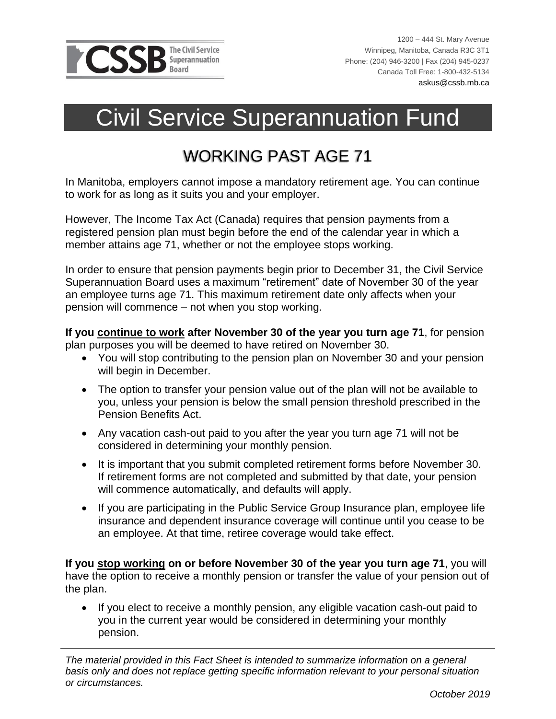

 $\overline{a}$ 

## Civil Service Superannuation Fund

## WORKING PAST AGE 71

In Manitoba, employers cannot impose a mandatory retirement age. You can continue to work for as long as it suits you and your employer.

However, The Income Tax Act (Canada) requires that pension payments from a registered pension plan must begin before the end of the calendar year in which a member attains age 71, whether or not the employee stops working.

In order to ensure that pension payments begin prior to December 31, the Civil Service Superannuation Board uses a maximum "retirement" date of November 30 of the year an employee turns age 71. This maximum retirement date only affects when your pension will commence – not when you stop working.

**If you continue to work after November 30 of the year you turn age 71**, for pension plan purposes you will be deemed to have retired on November 30.

- You will stop contributing to the pension plan on November 30 and your pension will begin in December.
- The option to transfer your pension value out of the plan will not be available to you, unless your pension is below the small pension threshold prescribed in the Pension Benefits Act.
- Any vacation cash-out paid to you after the year you turn age 71 will not be considered in determining your monthly pension.
- It is important that you submit completed retirement forms before November 30. If retirement forms are not completed and submitted by that date, your pension will commence automatically, and defaults will apply.
- If you are participating in the Public Service Group Insurance plan, employee life insurance and dependent insurance coverage will continue until you cease to be an employee. At that time, retiree coverage would take effect.

**If you stop working on or before November 30 of the year you turn age 71**, you will have the option to receive a monthly pension or transfer the value of your pension out of the plan.

• If you elect to receive a monthly pension, any eligible vacation cash-out paid to you in the current year would be considered in determining your monthly pension.

*The material provided in this Fact Sheet is intended to summarize information on a general basis only and does not replace getting specific information relevant to your personal situation or circumstances.*